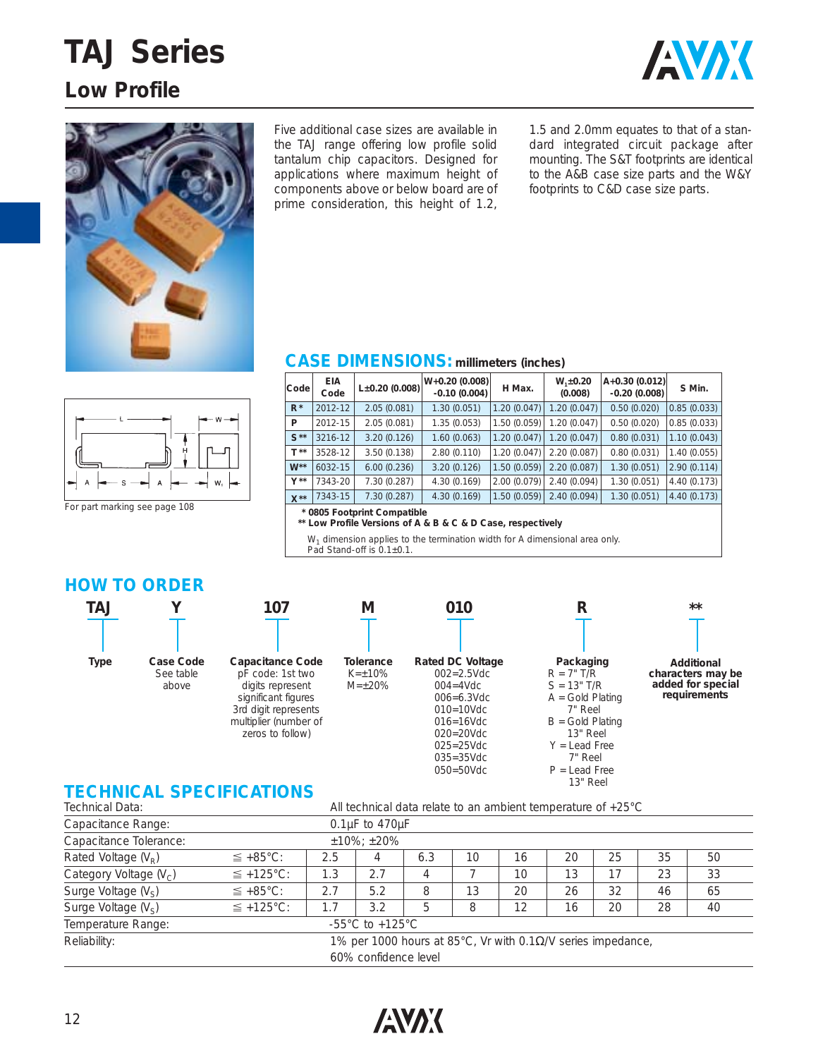## **TAJ Series Low Profile**





Five additional case sizes are available in the TAJ range offering low profile solid tantalum chip capacitors. Designed for applications where maximum height of components above or below board are of prime consideration, this height of 1.2,

1.5 and 2.0mm equates to that of a standard integrated circuit package after mounting. The S&T footprints are identical to the A&B case size parts and the W&Y footprints to C&D case size parts.

#### **CASE DIMENSIONS: millimeters (inches)**

| Code             | <b>EIA</b><br>Code                                                               | $L\pm0.20$ (0.008) | $W+0.20(0.008)$<br>$-0.10(0.004)$ | H Max.      | $W_1 \pm 0.20$<br>(0.008) | $A+0.30(0.012)$<br>$-0.20(0.008)$ | S Min.      |  |  |  |
|------------------|----------------------------------------------------------------------------------|--------------------|-----------------------------------|-------------|---------------------------|-----------------------------------|-------------|--|--|--|
| $R^*$            | 2012-12                                                                          | 2.05(0.081)        | 1.30(0.051)                       | 1.20(0.047) | 1.20(0.047)               | 0.50(0.020)                       | 0.85(0.033) |  |  |  |
| P                | 2012-15                                                                          | 2.05(0.081)        | 1.35(0.053)                       | 1.50(0.059) | 1.20(0.047)               | 0.50(0.020)                       | 0.85(0.033) |  |  |  |
| $S^{\star\star}$ | 3216-12                                                                          | 3.20(0.126)        | 1.60(0.063)                       | 1.20(0.047) | 1.20(0.047)               | 0.80(0.031)                       | 1.10(0.043) |  |  |  |
| $T^{\star\star}$ | 3528-12                                                                          | 3.50(0.138)        | 2.80(0.110)                       | 1.20(0.047) | 2.20(0.087)               | 0.80(0.031)                       | 1.40(0.055) |  |  |  |
| $W^{\star\star}$ | 6032-15                                                                          | 6.00(0.236)        | 3.20(0.126)                       | 1.50(0.059) | 2.20(0.087)               | 1.30(0.051)                       | 2.90(0.114) |  |  |  |
| $V^{\star\star}$ | 7343-20                                                                          | 7.30 (0.287)       | 4.30(0.169)                       | 2.00(0.079) | 2.40(0.094)               | 1.30(0.051)                       | 4.40(0.173) |  |  |  |
| $X^{\star\star}$ | 7343-15                                                                          | 7.30(0.287)        | 4.30(0.169)                       | 1.50(0.059) | 2.40(0.094)               | 1.30(0.051)                       | 4.40(0.173) |  |  |  |
|                  | * 0805 Footprint Compatible<br>$*1$ Defit Herton of A A B A A B Occa secondicts. |                    |                                   |             |                           |                                   |             |  |  |  |

Low Profile Versions of A & B & C & D Case, respectively

 $W<sub>1</sub>$  dimension applies to the termination width for A dimensional area only.

Pad Stand-off is 0.1±0.1.

**M**

### **HOW TO ORDER**

For part marking see page 108

 $W_i$ 





zeros to follow)



#### **010 Rated DC Voltage** 002=2.5Vdc  $004 = 4Vdc$ 006=6.3Vdc 010=10Vdc 016=16Vdc 020=20Vdc 025=25Vdc 035=35Vdc

050=50Vdc



P = Lead Free 13" Reel



**\*\***

### **TECHNICAL SPECIFICATIONS**

| Technical Data:                                           | All technical data relate to an ambient temperature of +25°C         |     |     |     |    |    |    |    |    |    |
|-----------------------------------------------------------|----------------------------------------------------------------------|-----|-----|-----|----|----|----|----|----|----|
| Capacitance Range:                                        | $0.1\mu$ F to 470 $\mu$ F                                            |     |     |     |    |    |    |    |    |    |
| Capacitance Tolerance:                                    |                                                                      |     |     |     |    |    |    |    |    |    |
| Rated Voltage $(V_R)$                                     | $\leq$ +85°C:                                                        | 2.5 | 4   | 6.3 | 10 | 16 | 20 | 25 | 35 | 50 |
| Category Voltage $(V_C)$                                  | $\leq$ +125°C:                                                       | 1.3 | 2.7 | 4   |    | 10 | 13 | 17 | 23 | 33 |
| Surge Voltage $(V_S)$                                     | $\leq$ +85°C:                                                        | 2.7 | 5.2 | 8   | 13 | 20 | 26 | 32 | 46 | 65 |
| Surge Voltage (V <sub>s</sub> )                           | $\leq$ +125°C:                                                       | 1.7 | 3.2 | 5   | 8  | 12 | 16 | 20 | 28 | 40 |
| Temperature Range:<br>$-55^{\circ}$ C to $+125^{\circ}$ C |                                                                      |     |     |     |    |    |    |    |    |    |
| Reliability:                                              | 1% per 1000 hours at 85°C, Vr with 0.1 $\Omega$ /V series impedance, |     |     |     |    |    |    |    |    |    |
| 60% confidence level                                      |                                                                      |     |     |     |    |    |    |    |    |    |

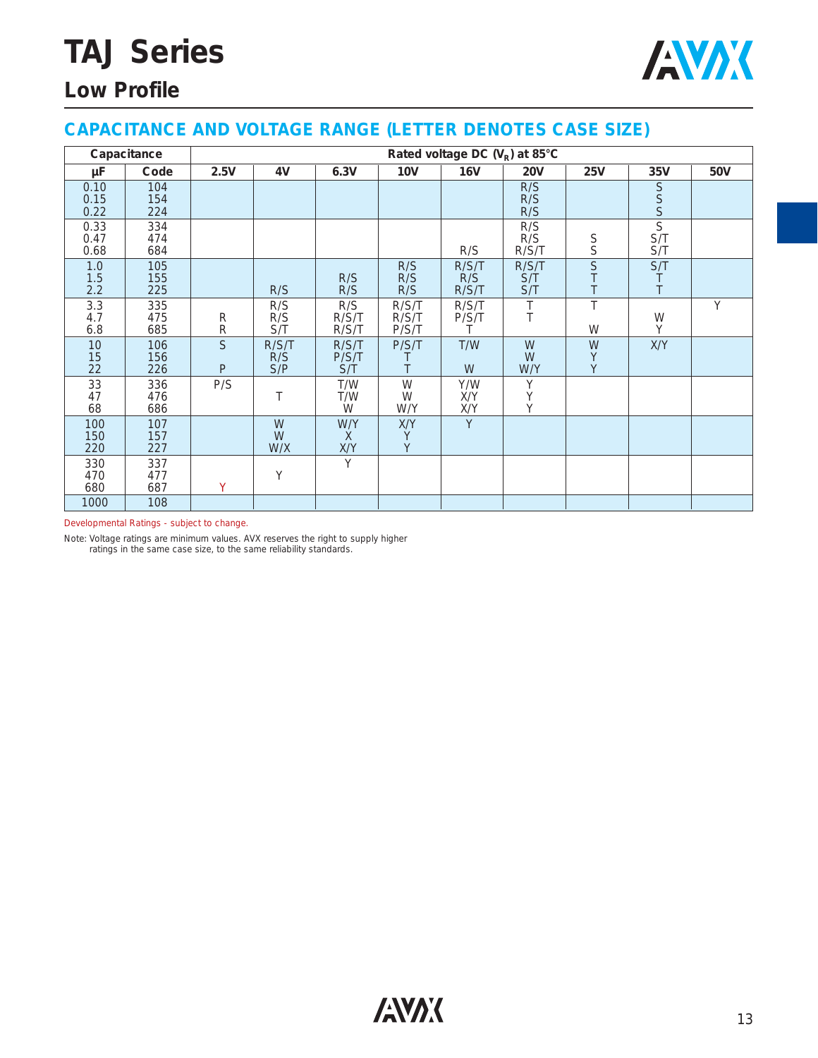# **TAJ Series**



## **Low Profile**

#### **CAPACITANCE AND VOLTAGE RANGE (LETTER DENOTES CASE SIZE)**

|                      | Capacitance       | Rated voltage DC $(V_R)$ at 85°C |                     |                       |                         |                       |                     |                              |                              |            |  |  |
|----------------------|-------------------|----------------------------------|---------------------|-----------------------|-------------------------|-----------------------|---------------------|------------------------------|------------------------------|------------|--|--|
| μF                   | Code              | 2.5V                             | 4V                  | 6.3V                  | <b>10V</b>              | <b>16V</b>            | <b>20V</b>          | <b>25V</b>                   | 35V                          | <b>50V</b> |  |  |
| 0.10<br>0.15<br>0.22 | 104<br>154<br>224 |                                  |                     |                       |                         |                       | R/S<br>R/S<br>R/S   |                              | S<br>S<br>S                  |            |  |  |
| 0.33<br>0.47<br>0.68 | 334<br>474<br>684 |                                  |                     |                       |                         | R/S                   | R/S<br>R/S<br>R/S/T | $\mathop{\mathsf{S}}\limits$ | $\overline{S}$<br>S/T<br>S/T |            |  |  |
| 1.0<br>1.5<br>2.2    | 105<br>155<br>225 |                                  | R/S                 | R/S<br>R/S            | R/S<br>R/S<br>R/S       | R/S/T<br>R/S<br>R/S/T | R/S/T<br>S/T<br>S/T | $\overline{S}$<br>$\top$     | S/T<br>T                     |            |  |  |
| 3.3<br>4.7<br>6.8    | 335<br>475<br>685 | R<br>${\sf R}$                   | R/S<br>R/S<br>S/T   | R/S<br>R/S/T<br>R/S/T | R/S/T<br>R/S/T<br>P/S/T | R/S/T<br>P/S/T<br>Τ   | $\top$<br>T         | T<br>W                       | W<br>Y                       | Y          |  |  |
| 10<br>15<br>22       | 106<br>156<br>226 | S<br>$\mathsf{P}$                | R/S/T<br>R/S<br>S/P | R/S/T<br>P/S/T<br>S/T | P/S/T                   | T/W<br>W              | W<br>W<br>W/Y       | W<br>$\sf Y$<br>Y            | X/Y                          |            |  |  |
| 33<br>47<br>68       | 336<br>476<br>686 | P/S                              | Τ                   | T/W<br>T/W<br>W       | W<br>W<br>W/Y           | Y/W<br>X/Y<br>X/Y     | Y<br>Y<br>Y         |                              |                              |            |  |  |
| 100<br>150<br>220    | 107<br>157<br>227 |                                  | W<br>W<br>W/X       | W/Y<br>X<br>X/Y       | X/Y<br>Υ<br>Y           | Y                     |                     |                              |                              |            |  |  |
| 330<br>470<br>680    | 337<br>477<br>687 | Y                                | Y                   | Y                     |                         |                       |                     |                              |                              |            |  |  |
| 1000                 | 108               |                                  |                     |                       |                         |                       |                     |                              |                              |            |  |  |

Developmental Ratings - subject to change.

Note: Voltage ratings are minimum values. AVX reserves the right to supply higher ratings in the same case size, to the same reliability standards.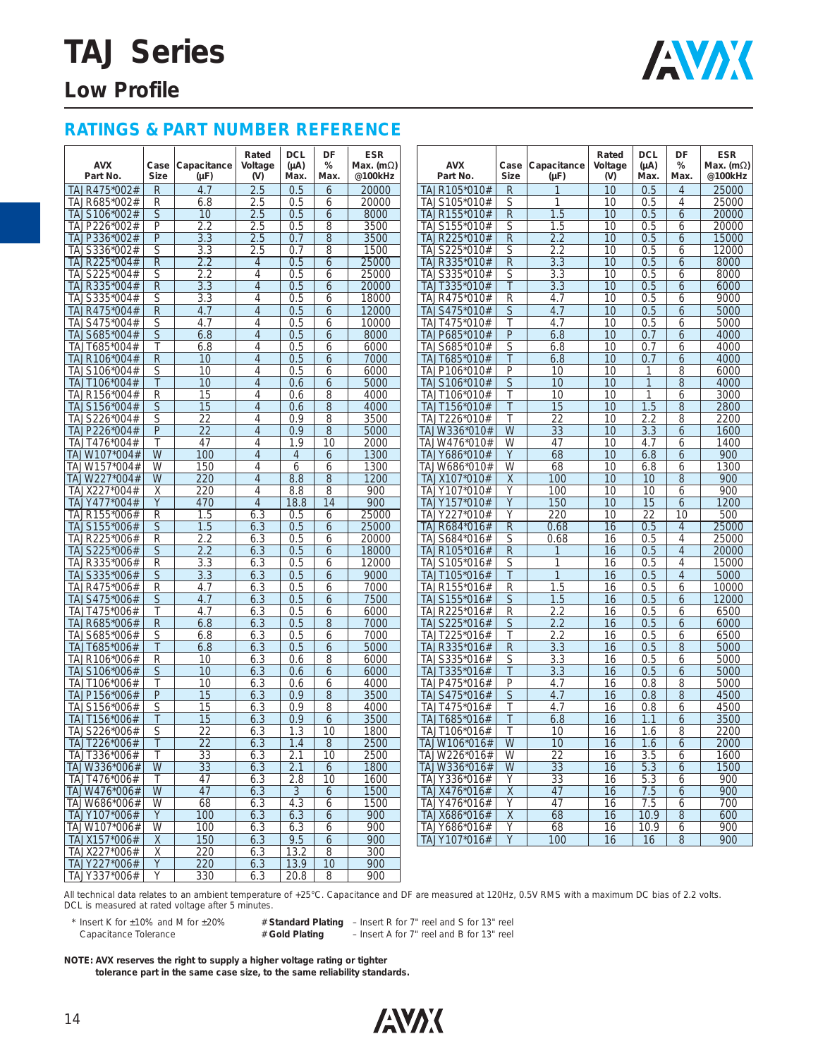# **TAJ Series**



## **Low Profile**

#### **RATINGS & PART NUMBER REFERENCE**

| <b>AVX</b><br>Part No. | Case<br><b>Size</b> | Capacitance<br>(µF) | Rated<br>Voltage<br>$(V)$ | <b>DCL</b><br>$(\mu A)$<br>Max. | DF<br>%<br>Max. | <b>ESR</b><br>Max. (m $\Omega$ )<br>@100kHz | <b>AVX</b><br>Part No. | Case<br><b>Size</b> | Capacitance<br>(µF) | Rated<br>Voltage<br>(V) | <b>DCL</b><br>$(\mu A)$<br>Max. | DF<br>%<br>Max. | <b>ESR</b><br>Max. (m $\Omega$ )<br>@100kHz |
|------------------------|---------------------|---------------------|---------------------------|---------------------------------|-----------------|---------------------------------------------|------------------------|---------------------|---------------------|-------------------------|---------------------------------|-----------------|---------------------------------------------|
| TAJR475*002#           | R                   | 4.7                 | 2.5                       | 0.5                             | 6               | 20000                                       | TAJR105*010#           | R                   |                     | 10                      | 0.5                             | $\overline{4}$  | 25000                                       |
| TAJR685*002#           | R                   | 6.8                 | 2.5                       | 0.5                             | 6               | 20000                                       | TAJS105*010#           | S                   |                     | 10                      | 0.5                             | 4               | 25000                                       |
| TAJS106*002#           | S                   | 10                  | 2.5                       | 0.5                             | 6               | 8000                                        | TAJR155*010#           | R                   | 1.5                 | 10                      | 0.5                             | 6               | 20000                                       |
| TAJP226*002#           | P                   | 2.2                 | 2.5                       | 0.5                             | 8               | 3500                                        | TAJS155*010#           | $\mathsf{S}% _{T}$  | 1.5                 | 10                      | 0.5                             | 6               | 20000                                       |
| TAJP336*002#           | P                   | 3.3                 | 2.5                       | 0.7                             | 8               | 3500                                        | TAJR225*010#           | R                   | 2.2                 | 10                      | 0.5                             | 6               | 15000                                       |
| TAJS336*002#           | S                   | 3.3                 | 2.5                       | 0.7                             | 8               | 1500                                        | TAJS225*010#           | S                   | 2.2                 | 10                      | 0.5                             | 6               | 12000                                       |
| TAJR225*004#           | R                   | 2.2                 | 4                         | 0.5                             | 6               | 25000                                       | TAJR335*010#           | $\mathsf{R}$        | 3.3                 | 10                      | 0.5                             | 6               | 8000                                        |
| TAJS225*004#           | S                   | 2.2                 | $\overline{4}$            | 0.5                             | 6               | 25000                                       | TAJS335*010#           | S                   | 3.3                 | 10                      | 0.5                             | 6               | 8000                                        |
|                        | R                   | 3.3                 | $\overline{4}$            | 0.5                             | 6               | 20000                                       | TAJT335*010#           | $\top$              | 3.3                 | 10                      | 0.5                             |                 | 6000                                        |
| TAJR335*004#           |                     |                     |                           |                                 |                 |                                             |                        |                     |                     |                         |                                 | 6               |                                             |
| TAJS335*004#           | S                   | 3.3                 | $\overline{4}$            | 0.5                             | 6               | 18000                                       | TAJR475*010#           | R                   | 4.7                 | 10                      | 0.5                             | 6               | 9000                                        |
| TAJR475*004#           | R                   | 4.7                 | $\overline{4}$            | 0.5                             | 6               | 12000                                       | TAJS475*010#           | S                   | 4.7                 | 10                      | 0.5                             | 6               | 5000                                        |
| TAJS475*004#           | S                   | 4.7                 | $\overline{4}$            | 0.5                             | 6               | 10000                                       | TAJT475*010#           | Τ                   | 4.7                 | 10                      | 0.5                             | 6               | 5000                                        |
| TAJS685*004#           | S                   | 6.8                 | $\overline{4}$            | 0.5                             | 6               | 8000                                        | TAJP685*010#           | $\mathsf{P}$        | 6.8                 | 10                      | 0.7                             | 6               | 4000                                        |
| TAJT685*004#           | Τ                   | 6.8                 | $\overline{4}$            | 0.5                             | 6               | 6000                                        | TAJS685*010#           | S                   | 6.8                 | 10                      | 0.7                             | 6               | 4000                                        |
| TAJR106*004#           | R                   | 10                  | $\overline{4}$            | 0.5                             | 6               | 7000                                        | TAJT685*010#           | $\top$              | 6.8                 | 10                      | 0.7                             | 6               | 4000                                        |
| TAJS106*004#           | S                   | 10                  | 4                         | 0.5                             | 6               | 6000                                        | TAJP106*010#           | P                   | 10                  | 10                      | 1                               | 8               | 6000                                        |
| TAJT106*004#           | Τ                   | 10                  | $\overline{4}$            | 0.6                             | 6               | 5000                                        | TAJS106*010#           | S                   | 10                  | 10                      |                                 | 8               | 4000                                        |
| TAJR156*004#           | R                   | 15                  | $\overline{4}$            | 0.6                             | 8               | 4000                                        | TAJT106*010#           | Τ                   | 10                  | 10                      | 1                               | 6               | 3000                                        |
| TAJS156*004#           | S                   | 15                  | $\overline{4}$            | 0.6                             | 8               | 4000                                        | TAJT156*010#           | Τ                   | 15                  | 10                      | 1.5                             | 8               | 2800                                        |
| TAJS226*004#           | S                   | 22                  | $\overline{4}$            | 0.9                             | 8               | 3500                                        | TAJT226*010#           | Τ                   | 22                  | 10                      | 2.2                             | 8               | 2200                                        |
| TAJP226*004#           | P                   | 22                  | $\overline{4}$            | 0.9                             | 8               | 5000                                        | TAJW336*010#           | W                   | 33                  | 10                      | 3.3                             | 6               | 1600                                        |
| TAJT476*004#           |                     | 47                  | 4                         | 1.9                             | 10              | 2000                                        | TAJW476*010#           | W                   | 47                  | 10                      | 4.7                             | 6               | 1400                                        |
| TAJW107*004#           | W                   | 100                 | $\overline{4}$            | $\overline{4}$                  | 6               | 1300                                        | TAJY686*010#           | Y                   | 68                  | 10                      | 6.8                             | 6               | 900                                         |
| TAJW157*004#           | W                   | 150                 | $\overline{4}$            | 6                               | 6               | 1300                                        | TAJW686*010#           | W                   | 68                  | 10                      | 6.8                             | 6               | 1300                                        |
| TAJW227*004#           | W                   | 220                 | $\overline{4}$            | 8.8                             | 8               | 1200                                        | TAJX107*010#           | X                   | 100                 | 10                      | 10                              | 8               | 900                                         |
| TAJX227*004#           | Χ                   | 220                 | $\overline{4}$            | 8.8                             | 8               | 900                                         | TAJY107*010#           | Y                   | 100                 | 10                      | 10                              | 6               | 900                                         |
| TAJY477*004#           | Y                   | 470                 | $\overline{4}$            | 18.8                            | 14              | 900                                         | TAJY157*010#           | Y                   | 150                 | 10                      | 15                              | 6               | 1200                                        |
| TAJR155*006#           | R                   | 1.5                 | 6.3                       | 0.5                             | 6               | 25000                                       | TAJY227*010#           | Y                   | 220                 | 10                      | 22                              | 10              | 500                                         |
|                        |                     | 1.5                 | 6.3                       | 0.5                             |                 | 25000                                       | TAJR684*016#           | $\overline{R}$      | 0.68                | 16                      | 0.5                             | $\overline{4}$  | 25000                                       |
| TAJS155*006#           | S                   |                     |                           |                                 | 6               |                                             |                        |                     |                     |                         |                                 |                 |                                             |
| TAJR225*006#           | R                   | 2.2                 | 6.3                       | 0.5                             | 6               | 20000                                       | TAJS684*016#           | S                   | 0.68                | 16                      | 0.5                             | $\overline{4}$  | 25000                                       |
| TAJS225*006#           | S                   | 2.2                 | 6.3                       | 0.5                             | 6               | 18000                                       | TAJR105*016#           | R                   |                     | 16                      | 0.5                             | $\overline{4}$  | 20000                                       |
| TAJR335*006#           | R                   | 3.3                 | 6.3                       | 0.5                             | 6               | 12000                                       | TAJS105*016#           | S                   | 1                   | 16                      | 0.5                             | $\overline{4}$  | 15000                                       |
| TAJS335*006#           | S                   | 3.3                 | 6.3                       | 0.5                             | 6               | 9000                                        | TAJT105*016#           | $\top$              | $\mathbf{1}$        | 16                      | 0.5                             | $\overline{4}$  | 5000                                        |
| TAJR475*006#           | R                   | 4.7                 | 6.3                       | 0.5                             | 6               | 7000                                        | TAJR155*016#           | R                   | 1.5                 | 16                      | 0.5                             | 6               | 10000                                       |
| TAJS475*006#           | S                   | 4.7                 | 6.3                       | 0.5                             | 6               | 7500                                        | TAJS155*016#           | S                   | 1.5                 | 16                      | 0.5                             | 6               | 12000                                       |
| TAJT475*006#           | Τ                   | 4.7                 | 6.3                       | 0.5                             | 6               | 6000                                        | TAJR225*016#           | R                   | 2.2                 | 16                      | 0.5                             | 6               | 6500                                        |
| TAJR685*006#           | R                   | 6.8                 | 6.3                       | 0.5                             | 8               | 7000                                        | TAJS225*016#           | S                   | 2.2                 | 16                      | 0.5                             | 6               | 6000                                        |
| TAJS685*006#           | S                   | 6.8                 | 6.3                       | 0.5                             | 6               | 7000                                        | TAJT225*016#           | Τ                   | 2.2                 | 16                      | 0.5                             | 6               | 6500                                        |
| TAJT685*006#           | Τ                   | 6.8                 | 6.3                       | 0.5                             | 6               | 5000                                        | TAJR335*016#           | R                   | 3.3                 | 16                      | 0.5                             | 8               | 5000                                        |
| TAJR106*006#           | R                   | 10                  | 6.3                       | 0.6                             | 8               | 6000                                        | TAJS335*016#           | S                   | 3.3                 | 16                      | 0.5                             | 6               | 5000                                        |
| TAJS106*006#           | S                   | 10                  | 6.3                       | 0.6                             | 6               | 6000                                        | TAJT335*016#           | T                   | 3.3                 | 16                      | 0.5                             | 6               | 5000                                        |
| TAJT106*006#           | Τ                   | 10                  | 6.3                       | 0.6                             | 6               | 4000                                        | TAJP475*016#           | P                   | 4.7                 | 16                      | 0.8                             | 8               | 5000                                        |
| TAJP156*006#           | P                   | 15                  | 6.3                       | 0.9                             | 8               | 3500                                        | TAJS475*016#           | S                   | 4.7                 | 16                      | 0.8                             | 8               | 4500                                        |
| TAJS156*006#           | S                   | 15                  | 6.3                       | 0.9                             | 8               | 4000                                        | TAJT475*016#           | Τ                   | 4.7                 | 16                      | 0.8                             | 6               | 4500                                        |
| TAJT156*006#           | Τ                   | 15                  | 6.3                       | 0.9                             | 6               | 3500                                        | TAJT685*016#           |                     | 6.8                 | 16                      | 1.1                             | 6               | 3500                                        |
| TAJS226*006#           | S                   | 22                  | 6.3                       | 1.3                             | 10              | 1800                                        | TAJT106*016#           | Τ                   | 10                  | 16                      | 1.6                             | 8               | 2200                                        |
| TAJT226*006#           | T                   | $\overline{22}$     | 6.3                       | 1.4                             | $8\phantom{1}$  | 2500                                        | TAJW106*016#           | W                   | 10                  | 16                      | 1.6                             | 6               | 2000                                        |
| TAJT336*006#           | Τ                   | 33                  | 6.3                       | 2.1                             | 10              | 2500                                        | TAJW226*016#           | W                   | 22                  | 16                      | 3.5                             | 6               | 1600                                        |
| TAJW336*006#           | W                   |                     |                           |                                 |                 | 1800                                        | TAJW336*016#           | W                   |                     | 16                      |                                 |                 | 1500                                        |
|                        |                     | 33                  | 6.3                       | 2.1                             | 6               |                                             |                        |                     | 33                  |                         | 5.3                             | 6               |                                             |
| TAJT476*006#           | Τ                   | 47                  | 6.3                       | 2.8                             | 10              | 1600                                        | TAJY336*016#           | Y                   | 33                  | 16                      | 5.3                             | 6               | 900                                         |
| TAJW476*006#           | W                   | 47                  | 6.3                       | 3                               | 6               | 1500                                        | TAJX476*016#           | $\times$            | 47                  | 16                      | 7.5                             | 6               | 900                                         |
| TAJW686*006#           | W                   | 68                  | 6.3                       | 4.3                             | 6               | 1500                                        | TAJY476*016#           | Y                   | 47                  | 16                      | 7.5                             | 6               | 700                                         |
| TAJY107*006#           | Y                   | 100                 | 6.3                       | 6.3                             | 6               | 900                                         | TAJX686*016#           | $\times$            | 68                  | 16                      | 10.9                            | 8               | 600                                         |
| TAJW107*006#           | W                   | 100                 | 6.3                       | 6.3                             | 6               | 900                                         | TAJY686*016#           | Y                   | 68                  | 16                      | 10.9                            | 6               | 900                                         |
| TAJX157*006#           | X                   | 150                 | 6.3                       | 9.5                             | 6               | 900                                         | TAJY107*016#           | Y                   | 100                 | 16                      | 16                              | 8               | 900                                         |
| TAJX227*006#           | Χ                   | 220                 | 6.3                       | 13.2                            | 8               | 300                                         |                        |                     |                     |                         |                                 |                 |                                             |
| TAJY227*006#           | Y                   | 220                 | 6.3                       | 13.9                            | 10              | 900                                         |                        |                     |                     |                         |                                 |                 |                                             |

All technical data relates to an ambient temperature of +25°C. Capacitance and DF are measured at 120Hz, 0.5V RMS with a maximum DC bias of 2.2 volts. DCL is measured at rated voltage after 5 minutes.

\* Insert K for ±10% and M for ±20% # **Standard Plating** – Insert R for 7" reel and S for 13" reel

- Insert A for 7" reel and B for 13" reel

**NOTE: AVX reserves the right to supply a higher voltage rating or tighter** 

TAJY337\*006# | Y | 330 | 6.3 | 20.8 | 8 | 900

**tolerance part in the same case size, to the same reliability standards.**